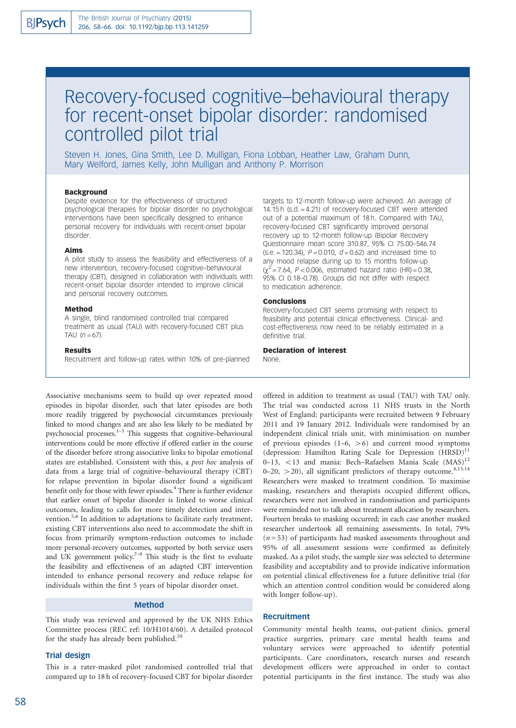# Recovery-focused cognitive–behavioural therapy for recent-onset bipolar disorder: randomised controlled pilot trial

Steven H. Jones, Gina Smith, Lee D. Mulligan, Fiona Lobban, Heather Law, Graham Dunn, Mary Welford, James Kelly, John Mulligan and Anthony P. Morrison

# **Background**

Despite evidence for the effectiveness of structured psychological therapies for bipolar disorder no psychological interventions have been specifically designed to enhance personal recovery for individuals with recent-onset bipolar disorder.

#### Aims

A pilot study to assess the feasibility and effectiveness of a new intervention, recovery-focused cognitive–behavioural therapy (CBT), designed in collaboration with individuals with recent-onset bipolar disorder intended to improve clinical and personal recovery outcomes.

#### Method

A single, blind randomised controlled trial compared treatment as usual (TAU) with recovery-focused CBT plus TAU  $(n=67)$ .

#### Results

Recruitment and follow-up rates within 10% of pre-planned

Associative mechanisms seem to build up over repeated mood episodes in bipolar disorder, such that later episodes are both more readily triggered by psychosocial circumstances previously linked to mood changes and are also less likely to be mediated by psychosocial processes.1–3 This suggests that cognitive–behavioural interventions could be more effective if offered earlier in the course of the disorder before strong associative links to bipolar emotional states are established. Consistent with this, a post hoc analysis of data from a large trial of cognitive–behavioural therapy (CBT) for relapse prevention in bipolar disorder found a significant benefit only for those with fewer episodes.<sup>4</sup> There is further evidence that earlier onset of bipolar disorder is linked to worse clinical outcomes, leading to calls for more timely detection and intervention.<sup>5,6</sup> In addition to adaptations to facilitate early treatment, existing CBT interventions also need to accommodate the shift in focus from primarily symptom-reduction outcomes to include more personal-recovery outcomes, supported by both service users and UK government policy.<sup>7–9</sup> This study is the first to evaluate the feasibility and effectiveness of an adapted CBT intervention intended to enhance personal recovery and reduce relapse for individuals within the first 5 years of bipolar disorder onset.

# Method

This study was reviewed and approved by the UK NHS Ethics Committee process (REC ref: 10/H1014/60). A detailed protocol for the study has already been published.<sup>10</sup>

# Trial design

This is a rater-masked pilot randomised controlled trial that compared up to 18 h of recovery-focused CBT for bipolar disorder targets to 12-month follow-up were achieved. An average of 14.15 h (s.d. = 4.21) of recovery-focused CBT were attended out of a potential maximum of 18 h. Compared with TAU, recovery-focused CBT significantly improved personal recovery up to 12-month follow-up (Bipolar Recovery Questionnaire mean score 310.87, 95% CI 75.00–546.74  $(S.e. = 120.34)$ ,  $P = 0.010$ ,  $d = 0.62$ ) and increased time to any mood relapse during up to 15 months follow-up  $(x^2 = 7.64, P < 0.006,$  estimated hazard ratio (HR) = 0.38, 95% CI 0.18–0.78). Groups did not differ with respect to medication adherence.

# Conclusions

Recovery-focused CBT seems promising with respect to feasibility and potential clinical effectiveness. Clinical- and cost-effectiveness now need to be reliably estimated in a definitive trial.

Declaration of interest None.

offered in addition to treatment as usual (TAU) with TAU only. The trial was conducted across 11 NHS trusts in the North West of England: participants were recruited between 9 February 2011 and 19 January 2012. Individuals were randomised by an independent clinical trials unit, with minimisation on number of previous episodes  $(1-6, >6)$  and current mood symptoms (depression: Hamilton Rating Scale for Depression  $(HRSD)^{11}$ 0-13,  $<$ 13 and mania: Bech–Rafaelsen Mania Scale (MAS)<sup>12</sup> 0-20,  $>$  20), all significant predictors of therapy outcome.<sup>4,13,14</sup> Researchers were masked to treatment condition. To maximise masking, researchers and therapists occupied different offices, researchers were not involved in randomisation and participants were reminded not to talk about treatment allocation by researchers. Fourteen breaks to masking occurred; in each case another masked researcher undertook all remaining assessments. In total, 79%  $(n = 53)$  of participants had masked assessments throughout and 95% of all assessment sessions were confirmed as definitely masked. As a pilot study, the sample size was selected to determine feasibility and acceptability and to provide indicative information on potential clinical effectiveness for a future definitive trial (for which an attention control condition would be considered along with longer follow-up).

# **Recruitment**

Community mental health teams, out-patient clinics, general practice surgeries, primary care mental health teams and voluntary services were approached to identify potential participants. Care coordinators, research nurses and research development officers were approached in order to contact potential participants in the first instance. The study was also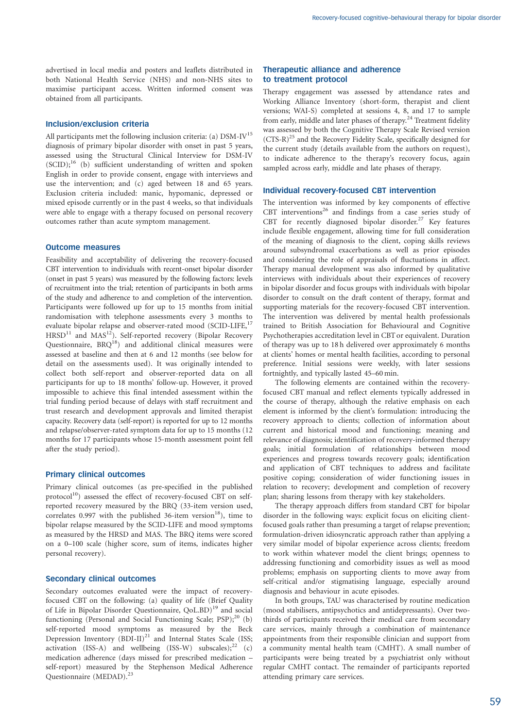advertised in local media and posters and leaflets distributed in both National Health Service (NHS) and non-NHS sites to maximise participant access. Written informed consent was obtained from all participants.

# Inclusion/exclusion criteria

All participants met the following inclusion criteria: (a)  $DSM-IV<sup>15</sup>$ diagnosis of primary bipolar disorder with onset in past 5 years, assessed using the Structural Clinical Interview for DSM-IV  $(SCID);$ <sup>16</sup> (b) sufficient understanding of written and spoken English in order to provide consent, engage with interviews and use the intervention; and (c) aged between 18 and 65 years. Exclusion criteria included: manic, hypomanic, depressed or mixed episode currently or in the past 4 weeks, so that individuals were able to engage with a therapy focused on personal recovery outcomes rather than acute symptom management.

# Outcome measures

Feasibility and acceptability of delivering the recovery-focused CBT intervention to individuals with recent-onset bipolar disorder (onset in past 5 years) was measured by the following factors: levels of recruitment into the trial; retention of participants in both arms of the study and adherence to and completion of the intervention. Participants were followed up for up to 15 months from initial randomisation with telephone assessments every 3 months to evaluate bipolar relapse and observer-rated mood (SCID-LIFE,<sup>17</sup>  $HRSD<sup>11</sup>$  and  $MAS<sup>12</sup>$ ). Self-reported recovery (Bipolar Recovery Questionnaire, BRQ<sup>18</sup>) and additional clinical measures were assessed at baseline and then at 6 and 12 months (see below for detail on the assessments used). It was originally intended to collect both self-report and observer-reported data on all participants for up to 18 months' follow-up. However, it proved impossible to achieve this final intended assessment within the trial funding period because of delays with staff recruitment and trust research and development approvals and limited therapist capacity. Recovery data (self-report) is reported for up to 12 months and relapse/observer-rated symptom data for up to 15 months (12 months for 17 participants whose 15-month assessment point fell after the study period).

# Primary clinical outcomes

Primary clinical outcomes (as pre-specified in the published protocol<sup>10</sup>) assessed the effect of recovery-focused CBT on selfreported recovery measured by the BRQ (33-item version used, correlates  $0.997$  with the published  $36$ -item version<sup>18</sup>), time to bipolar relapse measured by the SCID-LIFE and mood symptoms as measured by the HRSD and MAS. The BRQ items were scored on a 0–100 scale (higher score, sum of items, indicates higher personal recovery).

# Secondary clinical outcomes

Secondary outcomes evaluated were the impact of recoveryfocused CBT on the following: (a) quality of life (Brief Quality of Life in Bipolar Disorder Questionnaire, QoL.BD)<sup>19</sup> and social functioning (Personal and Social Functioning Scale;  $PSP$ );<sup>20</sup> (b) self-reported mood symptoms as measured by the Beck Depression Inventory  $(BDI-II)^{21}$  and Internal States Scale (ISS; activation (ISS-A) and wellbeing (ISS-W) subscales); $22$  (c) medication adherence (days missed for prescribed medication – self-report) measured by the Stephenson Medical Adherence Questionnaire (MEDAD).<sup>23</sup>

# Therapeutic alliance and adherence to treatment protocol

Therapy engagement was assessed by attendance rates and Working Alliance Inventory (short-form, therapist and client versions; WAI-S) completed at sessions 4, 8, and 17 to sample from early, middle and later phases of therapy.<sup>24</sup> Treatment fidelity was assessed by both the Cognitive Therapy Scale Revised version  $(CTS-R)^{25}$  and the Recovery Fidelity Scale, specifically designed for the current study (details available from the authors on request), to indicate adherence to the therapy's recovery focus, again sampled across early, middle and late phases of therapy.

# Individual recovery-focused CBT intervention

The intervention was informed by key components of effective CBT interventions $26$  and findings from a case series study of CBT for recently diagnosed bipolar disorder.<sup>27</sup> Key features include flexible engagement, allowing time for full consideration of the meaning of diagnosis to the client, coping skills reviews around subsyndromal exacerbations as well as prior episodes and considering the role of appraisals of fluctuations in affect. Therapy manual development was also informed by qualitative interviews with individuals about their experiences of recovery in bipolar disorder and focus groups with individuals with bipolar disorder to consult on the draft content of therapy, format and supporting materials for the recovery-focused CBT intervention. The intervention was delivered by mental health professionals trained to British Association for Behavioural and Cognitive Psychotherapies accreditation level in CBT or equivalent. Duration of therapy was up to 18 h delivered over approximately 6 months at clients' homes or mental health facilities, according to personal preference. Initial sessions were weekly, with later sessions fortnightly, and typically lasted 45–60 min.

The following elements are contained within the recoveryfocused CBT manual and reflect elements typically addressed in the course of therapy, although the relative emphasis on each element is informed by the client's formulation: introducing the recovery approach to clients; collection of information about current and historical mood and functioning; meaning and relevance of diagnosis; identification of recovery-informed therapy goals; initial formulation of relationships between mood experiences and progress towards recovery goals; identification and application of CBT techniques to address and facilitate positive coping; consideration of wider functioning issues in relation to recovery; development and completion of recovery plan; sharing lessons from therapy with key stakeholders.

The therapy approach differs from standard CBT for bipolar disorder in the following ways: explicit focus on eliciting clientfocused goals rather than presuming a target of relapse prevention; formulation-driven idiosyncratic approach rather than applying a very similar model of bipolar experience across clients; freedom to work within whatever model the client brings; openness to addressing functioning and comorbidity issues as well as mood problems; emphasis on supporting clients to move away from self-critical and/or stigmatising language, especially around diagnosis and behaviour in acute episodes.

In both groups, TAU was characterised by routine medication (mood stabilisers, antipsychotics and antidepressants). Over twothirds of participants received their medical care from secondary care services, mainly through a combination of maintenance appointments from their responsible clinician and support from a community mental health team (CMHT). A small number of participants were being treated by a psychiatrist only without regular CMHT contact. The remainder of participants reported attending primary care services.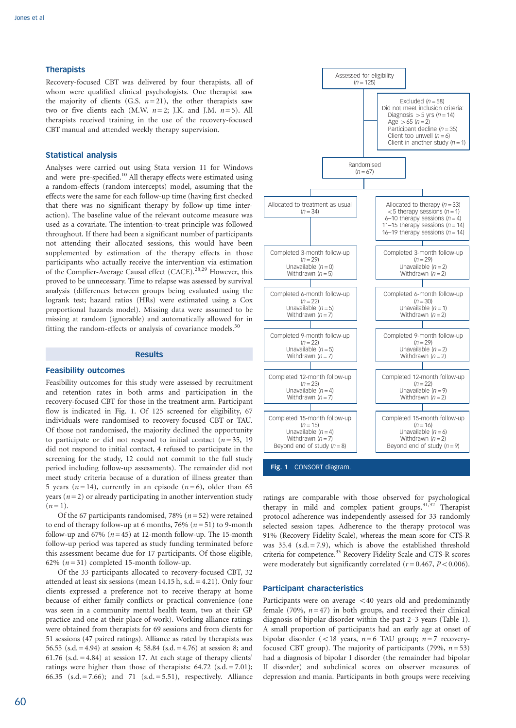# **Therapists**

Recovery-focused CBT was delivered by four therapists, all of whom were qualified clinical psychologists. One therapist saw the majority of clients (G.S.  $n=21$ ), the other therapists saw two or five clients each (M.W.  $n=2$ ; J.K. and J.M.  $n=5$ ). All therapists received training in the use of the recovery-focused CBT manual and attended weekly therapy supervision.

# Statistical analysis

Analyses were carried out using Stata version 11 for Windows and were pre-specified.<sup>10</sup> All therapy effects were estimated using a random-effects (random intercepts) model, assuming that the effects were the same for each follow-up time (having first checked that there was no significant therapy by follow-up time interaction). The baseline value of the relevant outcome measure was used as a covariate. The intention-to-treat principle was followed throughout. If there had been a significant number of participants not attending their allocated sessions, this would have been supplemented by estimation of the therapy effects in those participants who actually receive the intervention via estimation of the Complier-Average Causal effect  $(CACE)$ <sup>28,29</sup> However, this proved to be unnecessary. Time to relapse was assessed by survival analysis (differences between groups being evaluated using the logrank test; hazard ratios (HRs) were estimated using a Cox proportional hazards model). Missing data were assumed to be missing at random (ignorable) and automatically allowed for in fitting the random-effects or analysis of covariance models.<sup>30</sup>

# Results

#### Feasibility outcomes

Feasibility outcomes for this study were assessed by recruitment and retention rates in both arms and participation in the recovery-focused CBT for those in the treatment arm. Participant flow is indicated in Fig. 1. Of 125 screened for eligibility, 67 individuals were randomised to recovery-focused CBT or TAU. Of those not randomised, the majority declined the opportunity to participate or did not respond to initial contact  $(n=35, 19)$ did not respond to initial contact, 4 refused to participate in the screening for the study, 12 could not commit to the full study period including follow-up assessments). The remainder did not meet study criteria because of a duration of illness greater than 5 years ( $n = 14$ ), currently in an episode ( $n = 6$ ), older than 65 years ( $n = 2$ ) or already participating in another intervention study  $(n = 1)$ .

Of the 67 participants randomised, 78% ( $n = 52$ ) were retained to end of therapy follow-up at 6 months, 76%  $(n=51)$  to 9-month follow-up and 67%  $(n=45)$  at 12-month follow-up. The 15-month follow-up period was tapered as study funding terminated before this assessment became due for 17 participants. Of those eligible, 62%  $(n=31)$  completed 15-month follow-up.

Of the 33 participants allocated to recovery-focused CBT, 32 attended at least six sessions (mean 14.15 h, s.d. = 4.21). Only four clients expressed a preference not to receive therapy at home because of either family conflicts or practical convenience (one was seen in a community mental health team, two at their GP practice and one at their place of work). Working alliance ratings were obtained from therapists for 69 sessions and from clients for 51 sessions (47 paired ratings). Alliance as rated by therapists was 56.55 (s.d.  $= 4.94$ ) at session 4; 58.84 (s.d.  $= 4.76$ ) at session 8; and 61.76 (s.d.  $=$  4.84) at session 17. At each stage of therapy clients' ratings were higher than those of therapists:  $64.72$  (s.d. = 7.01); 66.35 (s.d. = 7.66); and 71 (s.d. = 5.51), respectively. Alliance



ratings are comparable with those observed for psychological therapy in mild and complex patient groups.<sup>31,32</sup> Therapist protocol adherence was independently assessed for 33 randomly selected session tapes. Adherence to the therapy protocol was 91% (Recovery Fidelity Scale), whereas the mean score for CTS-R was  $35.4$  (s.d. = 7.9), which is above the established threshold criteria for competence.<sup>33</sup> Recovery Fidelity Scale and CTS-R scores were moderately but significantly correlated  $(r=0.467, P<0.006)$ .

# Participant characteristics

Participants were on average  $<$  40 years old and predominantly female (70%,  $n=47$ ) in both groups, and received their clinical diagnosis of bipolar disorder within the past 2–3 years (Table 1). A small proportion of participants had an early age at onset of bipolar disorder (<18 years,  $n=6$  TAU group;  $n=7$  recoveryfocused CBT group). The majority of participants (79%,  $n=53$ ) had a diagnosis of bipolar I disorder (the remainder had bipolar II disorder) and subclinical scores on observer measures of depression and mania. Participants in both groups were receiving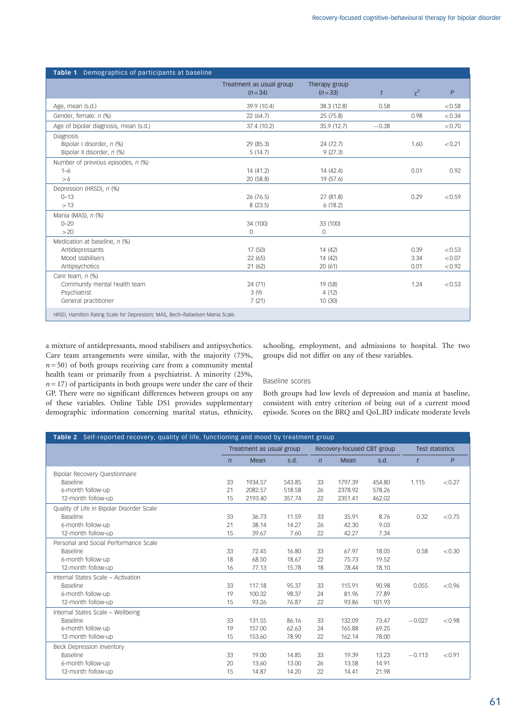| Table 1 Demographics of participants at baseline                                           |                                        |                              |         |                      |                            |
|--------------------------------------------------------------------------------------------|----------------------------------------|------------------------------|---------|----------------------|----------------------------|
|                                                                                            | Treatment as usual group<br>$(n = 34)$ | Therapy group<br>$(n = 33)$  | t       | $\chi^2$             | P                          |
| Age, mean (s.d.)                                                                           | 39.9 (10.4)                            | 38.3 (12.8)                  | 0.58    |                      | < 0.58                     |
| Gender, female: n (%)                                                                      | 22 (64.7)                              | 25 (75.8)                    |         | 0.98                 | < 0.34                     |
| Age of bipolar diagnosis, mean (s.d.)                                                      | 37.4 (10.2)                            | 35.9 (12.7)                  | $-0.38$ |                      | < 0.70                     |
| <b>Diagnosis</b><br>Bipolar I disorder, n (%)<br>Bipolar II disorder, n (%)                | 29 (85.3)<br>5(14.7)                   | 24(72.7)<br>9(27.3)          |         | 1.60                 | < 0.21                     |
| Number of previous episodes, n (%)<br>$1 - 6$<br>>6                                        | 14 (41.2)<br>20 (58.8)                 | 14 (42.4)<br>19 (57.6)       |         | 0.01                 | 0.92                       |
| Depression (HRSD), n (%)<br>$0 - 13$<br>>13                                                | 26 (76.5)<br>8(23.5)                   | 27 (81.8)<br>6(18.2)         |         | 0.29                 | < 0.59                     |
| Mania (MAS), n (%)<br>$0 - 20$<br>>20                                                      | 34 (100)<br>$\mathbf{O}$               | 33 (100)<br>$\mathbf{O}$     |         |                      |                            |
| Medication at baseline, n (%)<br>Antidepressants<br>Mood stabilisers<br>Antipsychotics     | 17 (50)<br>22(65)<br>21(62)            | 14 (42)<br>14 (42)<br>20(61) |         | 0.39<br>3.34<br>0.01 | < 0.53<br>< 0.07<br>< 0.92 |
| Care team, $n$ $%$<br>Community mental health team<br>Psychiatrist<br>General practitioner | 24 (71)<br>3(9)<br>7(21)               | 19 (58)<br>4(12)<br>10(30)   |         | 1.24                 | < 0.53                     |
| HRSD, Hamilton Rating Scale for Depression; MAS, Bech-Rafaelsen Mania Scale.               |                                        |                              |         |                      |                            |

a mixture of antidepressants, mood stabilisers and antipsychotics. Care team arrangements were similar, with the majority (75%,  $n = 50$ ) of both groups receiving care from a community mental health team or primarily from a psychiatrist. A minority (25%,  $n = 17$ ) of participants in both groups were under the care of their GP. There were no significant differences between groups on any of these variables. Online Table DS1 provides supplementary demographic information concerning marital status, ethnicity, schooling, employment, and admissions to hospital. The two groups did not differ on any of these variables.

# Baseline scores

Both groups had low levels of depression and mania at baseline, consistent with entry criterion of being out of a current mood episode. Scores on the BRQ and QoL.BD indicate moderate levels

| Table 2 Self-reported recovery, quality of life, functioning and mood by treatment group |                          |         |                            |            |         |                        |                |              |
|------------------------------------------------------------------------------------------|--------------------------|---------|----------------------------|------------|---------|------------------------|----------------|--------------|
|                                                                                          | Treatment as usual group |         | Recovery-focused CBT group |            |         | <b>Test statistics</b> |                |              |
|                                                                                          | $\mathsf{n}$             | Mean    | s.d.                       | $\sqrt{n}$ | Mean    | s.d.                   | $\mathfrak{t}$ | $\mathsf{P}$ |
| <b>Bipolar Recovery Questionnaire</b>                                                    |                          |         |                            |            |         |                        |                |              |
| Baseline                                                                                 | 33                       | 1934.57 | 543.85                     | 33         | 1797.39 | 454.80                 | 1.115          | < 0.27       |
| 6-month follow-up                                                                        | 21                       | 2082.57 | 518.58                     | 26         | 2378.92 | 578.26                 |                |              |
| 12-month follow-up                                                                       | 15                       | 2193.40 | 357.74                     | 22         | 2351.41 | 462.02                 |                |              |
| Quality of Life in Bipolar Disorder Scale                                                |                          |         |                            |            |         |                        |                |              |
| <b>Baseline</b>                                                                          | 33                       | 36.73   | 11.59                      | 33         | 35.91   | 8.76                   | 0.32           | < 0.75       |
| 6-month follow-up                                                                        | 21                       | 38.14   | 14.27                      | 26         | 42.30   | 9.03                   |                |              |
| 12-month follow-up                                                                       | 15                       | 39.67   | 7.60                       | 22         | 42.27   | 7.34                   |                |              |
| Personal and Social Performance Scale                                                    |                          |         |                            |            |         |                        |                |              |
| Baseline                                                                                 | 33                       | 72.45   | 16.80                      | 33         | 67.97   | 18.05                  | 0.58           | < 0.30       |
| 6-month follow-up                                                                        | 18                       | 68.50   | 18.67                      | 22         | 75.73   | 19.52                  |                |              |
| 12-month follow-up                                                                       | 16                       | 77.13   | 15.78                      | 18         | 78.44   | 18.10                  |                |              |
| Internal States Scale - Activation                                                       |                          |         |                            |            |         |                        |                |              |
| <b>Baseline</b>                                                                          | 33                       | 117.18  | 95.37                      | 33         | 115.91  | 90.98                  | 0.055          | < 0.96       |
| 6-month follow-up                                                                        | 19                       | 100.32  | 98.37                      | 24         | 81.96   | 77.89                  |                |              |
| 12-month follow-up                                                                       | 15                       | 93.26   | 76.87                      | 22         | 93.86   | 101.93                 |                |              |
| Internal States Scale - Wellbeing                                                        |                          |         |                            |            |         |                        |                |              |
| <b>Baseline</b>                                                                          | 33                       | 131.55  | 86.16                      | 33         | 132.09  | 73.47                  | $-0.027$       | < 0.98       |
| 6-month follow-up                                                                        | 19                       | 157.00  | 62.63                      | 24         | 165.88  | 69.25                  |                |              |
| 12-month follow-up                                                                       | 15                       | 153.60  | 78.90                      | 22         | 162.14  | 78.00                  |                |              |
| Beck Depression Inventory                                                                |                          |         |                            |            |         |                        |                |              |
| <b>Baseline</b>                                                                          | 33                       | 19.00   | 14.85                      | 33         | 19.39   | 13.23                  | $-0.113$       | < 0.91       |
| 6-month follow-up                                                                        | 20                       | 13.60   | 13.00                      | 26         | 13.58   | 14.91                  |                |              |
| 12-month follow-up                                                                       | 15                       | 14.87   | 14.20                      | 22         | 14.41   | 21.98                  |                |              |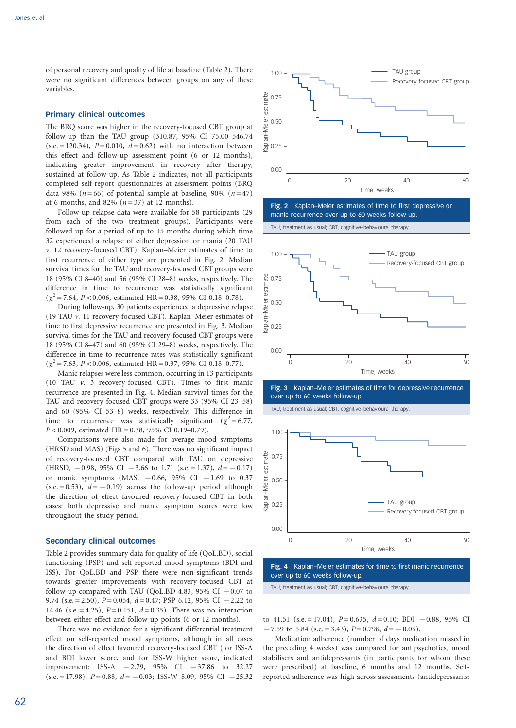of personal recovery and quality of life at baseline (Table 2). There were no significant differences between groups on any of these variables.

# Primary clinical outcomes

The BRQ score was higher in the recovery-focused CBT group at follow-up than the TAU group (310.87, 95% CI 75.00–546.74  $(s.e. = 120.34), P = 0.010, d = 0.62)$  with no interaction between this effect and follow-up assessment point (6 or 12 months), indicating greater improvement in recovery after therapy, sustained at follow-up. As Table 2 indicates, not all participants completed self-report questionnaires at assessment points (BRQ data 98% ( $n = 66$ ) of potential sample at baseline, 90% ( $n = 47$ ) at 6 months, and 82%  $(n=37)$  at 12 months).

Follow-up relapse data were available for 58 participants (29 from each of the two treatment groups). Participants were followed up for a period of up to 15 months during which time 32 experienced a relapse of either depression or mania (20 TAU v. 12 recovery-focused CBT). Kaplan–Meier estimates of time to first recurrence of either type are presented in Fig. 2. Median survival times for the TAU and recovery-focused CBT groups were 18 (95% CI 8–40) and 56 (95% CI 28–8) weeks, respectively. The difference in time to recurrence was statistically significant  $(\chi^2 = 7.64, P < 0.006,$  estimated HR = 0.38, 95% CI 0.18–0.78).

During follow-up, 30 patients experienced a depressive relapse (19 TAU v. 11 recovery-focused CBT). Kaplan–Meier estimates of time to first depressive recurrence are presented in Fig. 3. Median survival times for the TAU and recovery-focused CBT groups were 18 (95% CI 8–47) and 60 (95% CI 29–8) weeks, respectively. The difference in time to recurrence rates was statistically significant  $(\chi^2 = 7.63, P < 0.006,$  estimated HR = 0.37, 95% CI 0.18–0.77).

Manic relapses were less common, occurring in 13 participants (10 TAU v. 3 recovery-focused CBT). Times to first manic recurrence are presented in Fig. 4. Median survival times for the TAU and recovery-focused CBT groups were 33 (95% CI 23–58) and 60 (95% CI 53–8) weeks, respectively. This difference in time to recurrence was statistically significant ( $\chi^2$  = 6.77,  $P < 0.009$ , estimated HR = 0.38, 95% CI 0.19–0.79).

Comparisons were also made for average mood symptoms (HRSD and MAS) (Figs 5 and 6). There was no significant impact of recovery-focused CBT compared with TAU on depressive (HRSD,  $-0.98$ , 95% CI  $-3.66$  to 1.71 (s.e. = 1.37),  $d=-0.17$ ) or manic symptoms (MAS,  $-0.66$ , 95% CI  $-1.69$  to 0.37 (s.e. = 0.53),  $d = -0.19$ ) across the follow-up period although the direction of effect favoured recovery-focused CBT in both cases: both depressive and manic symptom scores were low throughout the study period.

# Secondary clinical outcomes

Table 2 provides summary data for quality of life (QoL.BD), social functioning (PSP) and self-reported mood symptoms (BDI and ISS). For QoL.BD and PSP there were non-significant trends towards greater improvements with recovery-focused CBT at follow-up compared with TAU (QoL.BD 4.83, 95% CI  $-0.07$  to 9.74 (s.e. = 2.50),  $P = 0.054$ ,  $d = 0.47$ ; PSP 6.12, 95% CI - 2.22 to 14.46 (s.e. = 4.25),  $P = 0.151$ ,  $d = 0.35$ ). There was no interaction between either effect and follow-up points (6 or 12 months).

There was no evidence for a significant differential treatment effect on self-reported mood symptoms, although in all cases the direction of effect favoured recovery-focused CBT (for ISS-A and BDI lower score, and for ISS-W higher score, indicated improvement: ISS-A  $-2.79$ , 95% CI  $-37.86$  to 32.27 (s.e. = 17.98),  $P = 0.88$ ,  $d = -0.03$ ; ISS-W 8.09, 95% CI  $-25.32$ 





Fig. 2 Kaplan–Meier estimates of time to first depressive or manic recurrence over up to 60 weeks follow-up. TAU, treatment as usual; CBT, cognitive–behavioural therapy.



Fig. 3 Kaplan–Meier estimates of time for depressive recurrence over up to 60 weeks follow-up.

TAU, treatment as usual; CBT, cognitive–behavioural therapy.





to 41.51 (s.e. = 17.04),  $P = 0.635$ ,  $d = 0.10$ ; BDI  $-0.88$ , 95% CI  $-7.59$  to 5.84 (s.e. = 3.43),  $P = 0.798$ ,  $d = -0.05$ ).

Medication adherence (number of days medication missed in the preceding 4 weeks) was compared for antipsychotics, mood stabilisers and antidepressants (in participants for whom these were prescribed) at baseline, 6 months and 12 months. Selfreported adherence was high across assessments (antidepressants: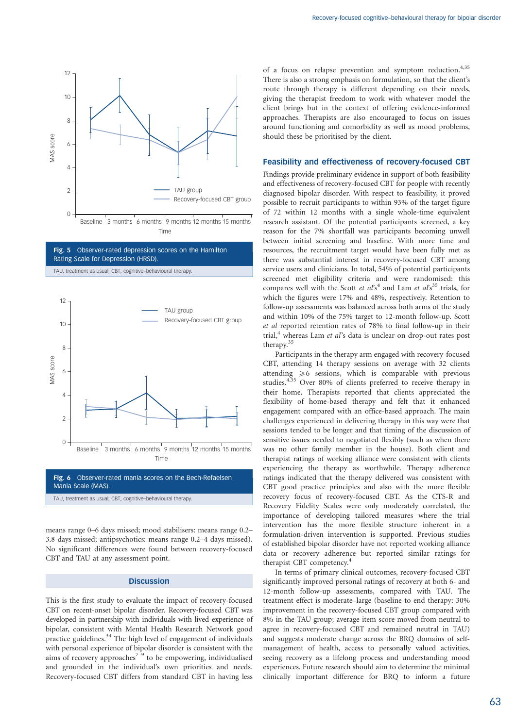





TAU, treatment as usual; CBT, cognitive–behavioural therapy.

means range 0–6 days missed; mood stabilisers: means range 0.2– 3.8 days missed; antipsychotics: means range 0.2–4 days missed). No significant differences were found between recovery-focused CBT and TAU at any assessment point.

# **Discussion**

This is the first study to evaluate the impact of recovery-focused CBT on recent-onset bipolar disorder. Recovery-focused CBT was developed in partnership with individuals with lived experience of bipolar, consistent with Mental Health Research Network good practice guidelines.<sup>34</sup> The high level of engagement of individuals with personal experience of bipolar disorder is consistent with the aims of recovery approaches<sup> $7-9$ </sup> to be empowering, individualised and grounded in the individual's own priorities and needs. Recovery-focused CBT differs from standard CBT in having less

of a focus on relapse prevention and symptom reduction.4,35 There is also a strong emphasis on formulation, so that the client's route through therapy is different depending on their needs, giving the therapist freedom to work with whatever model the client brings but in the context of offering evidence-informed approaches. Therapists are also encouraged to focus on issues around functioning and comorbidity as well as mood problems, should these be prioritised by the client.

# Feasibility and effectiveness of recovery-focused CBT

Findings provide preliminary evidence in support of both feasibility and effectiveness of recovery-focused CBT for people with recently diagnosed bipolar disorder. With respect to feasibility, it proved possible to recruit participants to within 93% of the target figure of 72 within 12 months with a single whole-time equivalent research assistant. Of the potential participants screened, a key reason for the 7% shortfall was participants becoming unwell between initial screening and baseline. With more time and resources, the recruitment target would have been fully met as there was substantial interest in recovery-focused CBT among service users and clinicians. In total, 54% of potential participants screened met eligibility criteria and were randomised: this compares well with the Scott *et al*<sup>84</sup> and Lam *et al*<sup>835</sup> trials, for which the figures were 17% and 48%, respectively. Retention to follow-up assessments was balanced across both arms of the study and within 10% of the 75% target to 12-month follow-up. Scott et al reported retention rates of 78% to final follow-up in their trial, $4$  whereas Lam et al's data is unclear on drop-out rates post therapy.<sup>35</sup>

Participants in the therapy arm engaged with recovery-focused CBT, attending 14 therapy sessions on average with 32 clients attending *5*6 sessions, which is comparable with previous studies.<sup>4,35</sup> Over 80% of clients preferred to receive therapy in their home. Therapists reported that clients appreciated the flexibility of home-based therapy and felt that it enhanced engagement compared with an office-based approach. The main challenges experienced in delivering therapy in this way were that sessions tended to be longer and that timing of the discussion of sensitive issues needed to negotiated flexibly (such as when there was no other family member in the house). Both client and therapist ratings of working alliance were consistent with clients experiencing the therapy as worthwhile. Therapy adherence ratings indicated that the therapy delivered was consistent with CBT good practice principles and also with the more flexible recovery focus of recovery-focused CBT. As the CTS-R and Recovery Fidelity Scales were only moderately correlated, the importance of developing tailored measures where the trial intervention has the more flexible structure inherent in a formulation-driven intervention is supported. Previous studies of established bipolar disorder have not reported working alliance data or recovery adherence but reported similar ratings for therapist CBT competency.4

In terms of primary clinical outcomes, recovery-focused CBT significantly improved personal ratings of recovery at both 6- and 12-month follow-up assessments, compared with TAU. The treatment effect is moderate–large (baseline to end therapy: 30% improvement in the recovery-focused CBT group compared with 8% in the TAU group; average item score moved from neutral to agree in recovery-focused CBT and remained neutral in TAU) and suggests moderate change across the BRQ domains of selfmanagement of health, access to personally valued activities, seeing recovery as a lifelong process and understanding mood experiences. Future research should aim to determine the minimal clinically important difference for BRQ to inform a future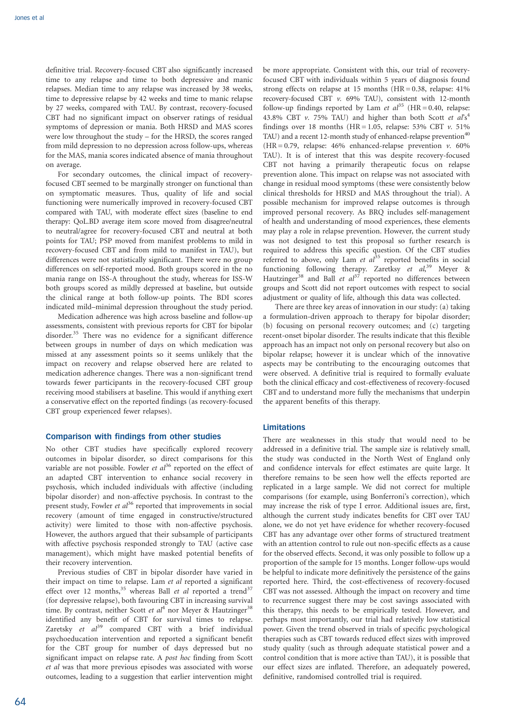definitive trial. Recovery-focused CBT also significantly increased time to any relapse and time to both depressive and manic relapses. Median time to any relapse was increased by 38 weeks, time to depressive relapse by 42 weeks and time to manic relapse by 27 weeks, compared with TAU. By contrast, recovery-focused CBT had no significant impact on observer ratings of residual symptoms of depression or mania. Both HRSD and MAS scores were low throughout the study – for the HRSD, the scores ranged from mild depression to no depression across follow-ups, whereas for the MAS, mania scores indicated absence of mania throughout on average.

For secondary outcomes, the clinical impact of recoveryfocused CBT seemed to be marginally stronger on functional than on symptomatic measures. Thus, quality of life and social functioning were numerically improved in recovery-focused CBT compared with TAU, with moderate effect sizes (baseline to end therapy: QoL.BD average item score moved from disagree/neutral to neutral/agree for recovery-focused CBT and neutral at both points for TAU; PSP moved from manifest problems to mild in recovery-focused CBT and from mild to manifest in TAU), but differences were not statistically significant. There were no group differences on self-reported mood. Both groups scored in the no mania range on ISS-A throughout the study, whereas for ISS-W both groups scored as mildly depressed at baseline, but outside the clinical range at both follow-up points. The BDI scores indicated mild–minimal depression throughout the study period.

Medication adherence was high across baseline and follow-up assessments, consistent with previous reports for CBT for bipolar disorder.<sup>35</sup> There was no evidence for a significant difference between groups in number of days on which medication was missed at any assessment points so it seems unlikely that the impact on recovery and relapse observed here are related to medication adherence changes. There was a non-significant trend towards fewer participants in the recovery-focused CBT group receiving mood stabilisers at baseline. This would if anything exert a conservative effect on the reported findings (as recovery-focused CBT group experienced fewer relapses).

# Comparison with findings from other studies

No other CBT studies have specifically explored recovery outcomes in bipolar disorder, so direct comparisons for this variable are not possible. Fowler et  $al^{36}$  reported on the effect of an adapted CBT intervention to enhance social recovery in psychosis, which included individuals with affective (including bipolar disorder) and non-affective psychosis. In contrast to the present study, Fowler et  $al^{36}$  reported that improvements in social recovery (amount of time engaged in constructive/structured activity) were limited to those with non-affective psychosis. However, the authors argued that their subsample of participants with affective psychosis responded strongly to TAU (active case management), which might have masked potential benefits of their recovery intervention.

Previous studies of CBT in bipolar disorder have varied in their impact on time to relapse. Lam et al reported a significant effect over 12 months,<sup>35</sup> whereas Ball et al reported a trend<sup>37</sup> (for depressive relapse), both favouring CBT in increasing survival time. By contrast, neither Scott et  $al<sup>4</sup>$  nor Meyer & Hautzinger<sup>38</sup> identified any benefit of CBT for survival times to relapse. Zaretsky et  $al^{39}$  compared CBT with a brief individual psychoeducation intervention and reported a significant benefit for the CBT group for number of days depressed but no significant impact on relapse rate. A *post hoc* finding from Scott et al was that more previous episodes was associated with worse outcomes, leading to a suggestion that earlier intervention might be more appropriate. Consistent with this, our trial of recoveryfocused CBT with individuals within 5 years of diagnosis found strong effects on relapse at 15 months (HR = 0.38, relapse: 41% recovery-focused CBT v. 69% TAU), consistent with 12-month follow-up findings reported by Lam et  $al^{35}$  (HR = 0.40, relapse: 43.8% CBT v. 75% TAU) and higher than both Scott et  $a l's<sup>4</sup>$ findings over 18 months (HR = 1.05, relapse: 53% CBT  $v$ . 51% TAU) and a recent 12-month study of enhanced-relapse prevention<sup>40</sup> (HR = 0.79, relapse: 46% enhanced-relapse prevention  $v$ . 60% TAU). It is of interest that this was despite recovery-focused CBT not having a primarily therapeutic focus on relapse prevention alone. This impact on relapse was not associated with change in residual mood symptoms (these were consistently below clinical thresholds for HRSD and MAS throughout the trial). A possible mechanism for improved relapse outcomes is through improved personal recovery. As BRQ includes self-management of health and understanding of mood experiences, these elements may play a role in relapse prevention. However, the current study was not designed to test this proposal so further research is required to address this specific question. Of the CBT studies referred to above, only Lam et  $al^{35}$  reported benefits in social functioning following therapy. Zaretksy et al,<sup>39</sup> Meyer & Hautzinger<sup>38</sup> and Ball et  $al^{37}$  reported no differences between groups and Scott did not report outcomes with respect to social adjustment or quality of life, although this data was collected.

There are three key areas of innovation in our study: (a) taking a formulation-driven approach to therapy for bipolar disorder; (b) focusing on personal recovery outcomes; and (c) targeting recent-onset bipolar disorder. The results indicate that this flexible approach has an impact not only on personal recovery but also on bipolar relapse; however it is unclear which of the innovative aspects may be contributing to the encouraging outcomes that were observed. A definitive trial is required to formally evaluate both the clinical efficacy and cost-effectiveness of recovery-focused CBT and to understand more fully the mechanisms that underpin the apparent benefits of this therapy.

# Limitations

There are weaknesses in this study that would need to be addressed in a definitive trial. The sample size is relatively small, the study was conducted in the North West of England only and confidence intervals for effect estimates are quite large. It therefore remains to be seen how well the effects reported are replicated in a large sample. We did not correct for multiple comparisons (for example, using Bonferroni's correction), which may increase the risk of type I error. Additional issues are, first, although the current study indicates benefits for CBT over TAU alone, we do not yet have evidence for whether recovery-focused CBT has any advantage over other forms of structured treatment with an attention control to rule out non-specific effects as a cause for the observed effects. Second, it was only possible to follow up a proportion of the sample for 15 months. Longer follow-ups would be helpful to indicate more definitively the persistence of the gains reported here. Third, the cost-effectiveness of recovery-focused CBT was not assessed. Although the impact on recovery and time to recurrence suggest there may be cost savings associated with this therapy, this needs to be empirically tested. However, and perhaps most importantly, our trial had relatively low statistical power. Given the trend observed in trials of specific psychological therapies such as CBT towards reduced effect sizes with improved study quality (such as through adequate statistical power and a control condition that is more active than TAU), it is possible that our effect sizes are inflated. Therefore, an adequately powered, definitive, randomised controlled trial is required.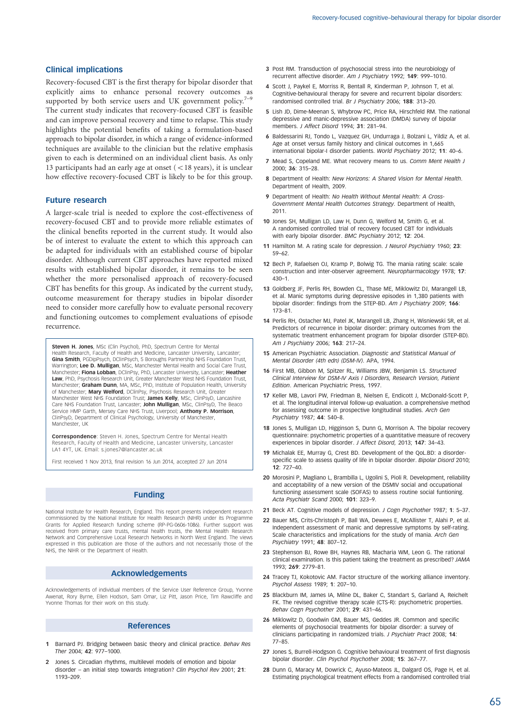# Clinical implications

Recovery-focused CBT is the first therapy for bipolar disorder that explicitly aims to enhance personal recovery outcomes as supported by both service users and UK government policy. $7-9$ The current study indicates that recovery-focused CBT is feasible and can improve personal recovery and time to relapse. This study highlights the potential benefits of taking a formulation-based approach to bipolar disorder, in which a range of evidence-informed techniques are available to the clinician but the relative emphasis given to each is determined on an individual client basis. As only 13 participants had an early age at onset  $(< 18$  years), it is unclear how effective recovery-focused CBT is likely to be for this group.

#### Future research

A larger-scale trial is needed to explore the cost-effectiveness of recovery-focused CBT and to provide more reliable estimates of the clinical benefits reported in the current study. It would also be of interest to evaluate the extent to which this approach can be adapted for individuals with an established course of bipolar disorder. Although current CBT approaches have reported mixed results with established bipolar disorder, it remains to be seen whether the more personalised approach of recovery-focused CBT has benefits for this group. As indicated by the current study, outcome measurement for therapy studies in bipolar disorder need to consider more carefully how to evaluate personal recovery and functioning outcomes to complement evaluations of episode recurrence.

Steven H. Jones, MSc (Clin Psychol), PhD, Spectrum Centre for Mental Health Research, Faculty of Health and Medicine, Lancaster University, Lancaster;<br>**Gina Smith**, PGDipPsych, DClinPsych, 5 Boroughs Partnership NHS Foundation Trust, Warrington; **Lee D. Mulligan**, MSc, Manchester Mental Health and Social Care Trust,<br>Manchester; **Fiona Lobban**, DClinPsy, PhD, Lancaster University, Lancaster; **Heather** Law, PhD, Psychosis Research Unit, Greater Manchester West NHS Foundation Trust, Manchester; Graham Dunn, MA, MSc, PhD, Institute of Population Health, University of Manchester; Mary Welford, DClinPsy, Psychosis Research Unit, Greater Manchester West NHS Foundation Trust; James Kelly, MSc, ClinPsyD, Lancashire Care NHS Foundation Trust, Lancaster; John Mulligan, MSc, ClinPsyD, The Beaco Service HMP Garth, Mersey Care NHS Trust, Liverpool: **Anthony P. Morrison**, ClinPsyD, Department of Clinical Psychology, University of Manchester, Manchester, UK

Correspondence: Steven H. Jones, Spectrum Centre for Mental Health Research, Faculty of Health and Medicine, Lancaster University, Lancaster LA1 4YT, UK. Email: s.jones7@lancaster.ac.uk

First received 1 Nov 2013, final revision 16 Jun 2014, accepted 27 Jun 2014

# Funding

National Institute for Health Research, England. This report presents independent research commissioned by the National Institute for Health Research (NIHR) under its Programme Grants for Applied Research funding scheme (RP-PG-0606-1086). Further support was received from primary care trusts, mental health trusts, the Mental Health Research Network and Comprehensive Local Research Networks in North West England. The views expressed in this publication are those of the authors and not necessarily those of the NHS, the NIHR or the Department of Health.

# Acknowledgements

Acknowledgements of individual members of the Service User Reference Group, Yvonne Awenat, Rory Byrne, Ellen Hodson, Sam Omar, Liz Pitt, Jason Price, Tim Rawcliffe and Yvonne Thomas for their work on this study.

#### References

- 1 Barnard PJ. Bridging between basic theory and clinical practice. Behav Res Ther 2004: **42:** 977-1000
- Jones S. Circadian rhythms, multilevel models of emotion and bipolar disorder – an initial step towards integration? Clin Psychol Rev 2001; 21: 1193–209.
- 3 Post RM. Transduction of psychosocial stress into the neurobiology of recurrent affective disorder. Am J Psychiatry 1992; 149: 999–1010.
- 4 Scott J, Paykel E, Morriss R, Bentall R, Kinderman P, Johnson T, et al. Cognitive-behavioural therapy for severe and recurrent bipolar disorders: randomised controlled trial. Br J Psychiatry 2006; 188: 313–20.
- 5 Lish JD, Dime-Meenan S, Whybrow PC, Price RA, Hirschfeld RM. The national depressive and manic-depressive association (DMDA) survey of bipolar members. J Affect Disord 1994; 31: 281–94.
- 6 Baldessarini RJ, Tondo L, Vazquez GH, Undurraga J, Bolzani L, Yildiz A, et al. Age at onset versus family history and clinical outcomes in 1,665 international bipolar-I disorder patients. World Psychiatry 2012; 11: 40–6.
- 7 Mead S, Copeland ME. What recovery means to us. Comm Ment Health J 2000; 36: 315–28.
- 8 Department of Health: New Horizons: A Shared Vision for Mental Health. Department of Health, 2009.
- 9 Department of Health: No Health Without Mental Health: A Cross-Government Mental Health Outcomes Strategy. Department of Health, 2011.
- 10 Jones SH, Mulligan LD, Law H, Dunn G, Welford M, Smith G, et al. A randomised controlled trial of recovery focused CBT for individuals with early bipolar disorder. BMC Psychiatry 2012: **12**: 204.
- 11 Hamilton M. A rating scale for depression. J Neurol Psychiatry 1960; 23: 59–62.
- 12 Bech P, Rafaelsen OJ, Kramp P, Bolwig TG. The mania rating scale: scale construction and inter-observer agreement. Neuropharmacology 1978; 17: 430–1.
- 13 Goldberg JF, Perlis RH, Bowden CL, Thase ME, Miklowitz DJ, Marangell LB, et al. Manic symptoms during depressive episodes in 1,380 patients with bipolar disorder: findings from the STEP-BD. Am J Psychiatry 2009; 166: 173–81.
- 14 Perlis RH, Ostacher MJ, Patel JK, Marangell LB, Zhang H, Wisniewski SR, et al. Predictors of recurrence in bipolar disorder: primary outcomes from the systematic treatment enhancement program for bipolar disorder (STEP-BD). Am J Psychiatry 2006; 163: 217–24.
- 15 American Psychiatric Association. Diagnostic and Statistical Manual of Mental Disorder (4th edn) (DSM-IV). APA, 1994.
- 16 First MB, Gibbon M, Spitzer RL, Williams JBW, Benjamin LS. Structured Clinical Interview for DSM-IV Axis I Disorders, Research Version, Patient Edition. American Psychiatric Press, 1997.
- 17 Keller MB, Lavori PW, Friedman B, Nielsen E, Endicott J, McDonald-Scott P, et al. The longitudinal interval follow-up evaluation. a comprehensive method for assessing outcome in prospective longitudinal studies. Arch Gen Psychiatry 1987; 44: 540–8.
- 18 Jones S, Mulligan LD, Higginson S, Dunn G, Morrison A, The bipolar recovery questionnaire: psychometric properties of a quantitative measure of recovery experiences in bipolar disorder. J Affect Disord, 2013; 147: 34–43.
- 19 Michalak EE, Murray G, Crest BD. Development of the QoL.BD: a disorderspecific scale to assess quality of life in bipolar disorder. Bipolar Disord 2010;  $12.727 - 40$
- 20 Morosini P, Magliano L, Brambilla L, Ugolini S, Pioli R. Development, reliability and acceptability of a new version of the DSMIV social and occupational functioning assessment scale (SOFAS) to assess routine social funtioning. Acta Psychiatr Scand 2000; 101: 323–9.
- 21 Beck AT. Cognitive models of depression. *J Cogn Psychother* 1987; 1: 5–37.
- 22 Bauer MS, Crits-Christoph P, Ball WA, Dewees E, McAllister T, Alahi P, et al. Independent assessment of manic and depressive symptoms by self-rating. Scale characteristics and implications for the study of mania. Arch Gen Psychiatry 1991; 48: 807–12.
- 23 Stephenson BJ, Rowe BH, Haynes RB, Macharia WM, Leon G. The rational clinical examination. Is this patient taking the treatment as prescribed? JAMA 1993; 269: 2779–81.
- 24 Tracey TJ, Kokotovic AM. Factor structure of the working alliance inventory. Psychol Assess 1989; 1: 207–10.
- 25 Blackburn IM, James IA, Milne DL, Baker C, Standart S, Garland A, Reichelt FK. The revised cognitive therapy scale (CTS-R): psychometric properties. Behav Cogn Psychother 2001; 29: 431–46.
- 26 Miklowitz D, Goodwin GM, Bauer MS, Geddes JR, Common and specific elements of psychosocial treatments for bipolar disorder: a survey of clinicians participating in randomized trials. J Psychiatr Pract 2008; 14: 77–85.
- 27 Jones S, Burrell-Hodgson G. Cognitive behavioural treatment of first diagnosis bipolar disorder. Clin Psychol Psychother 2008; 15: 367–77.
- 28 Dunn G, Maracy M, Dowrick C, Ayuso-Mateos JL, Dalgard OS, Page H, et al. Estimating psychological treatment effects from a randomised controlled trial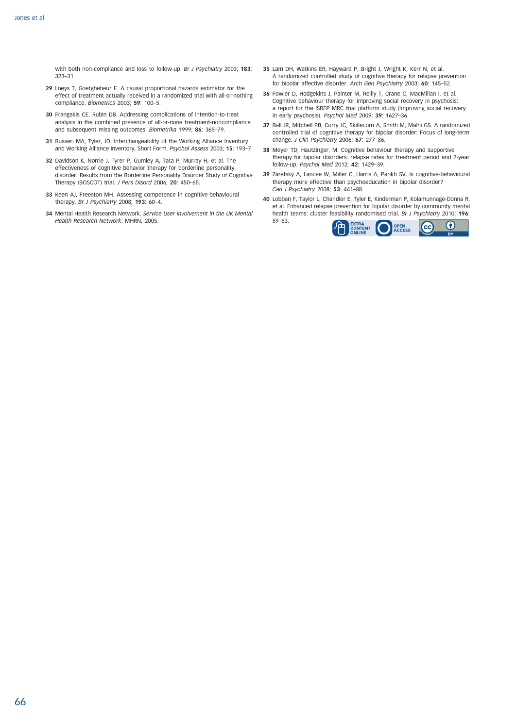with both non-compliance and loss to follow-up. Br J Psychiatry 2003; 183: 323–31.

- 29 Loeys T, Goetghebeur E. A causal proportional hazards estimator for the effect of treatment actually received in a randomized trial with all-or-nothing compliance. Biometrics 2003; 59: 100–5.
- 30 Frangakis CE, Rubin DB. Addressing complications of intention-to-treat analysis in the combined presence of all-or-none treatment-noncompliance and subsequent missing outcomes. Biometrika 1999; 86: 365–79.
- 31 Busseri MA, Tyler, JD. Interchangeability of the Working Alliance Inventory and Working Alliance Inventory, Short Form. Psychol Assess 2003; 15: 193–7.
- 32 Davidson K, Norrie J, Tyrer P, Gumley A, Tata P, Murray H, et al. The effectiveness of cognitive behavior therapy for borderline personality disorder: Results from the Borderline Personality Disorder Study of Cognitive Therapy (BOSCOT) trial. J Pers Disord 2006; 20: 450–65.
- 33 Keen AJ, Freeston MH. Assessing competence in cognitive-behavioural therapy. Br J Psychiatry 2008: 193: 60-4.
- 34 Mental Health Research Network. Service User Involvement in the UK Mental Health Research Network. MHRN, 2005.
- 35 Lam DH, Watkins ER, Hayward P, Bright J, Wright K, Kerr N, et al. A randomized controlled study of cognitive therapy for relapse prevention for bipolar affective disorder. Arch Gen Psychiatry 2003; 60: 145–52.
- 36 Fowler D, Hodgekins J, Painter M, Reilly T, Crane C, MacMillan I, et al. Cognitive behaviour therapy for improving social recovery in psychosis: a report for the ISREP MRC trial platform study (Improving social recovery in early psychosis). Psychol Med 2009; 39: 1627–36.
- 37 Ball JR, Mitchell PB, Corry JC, Skillecorn A, Smith M, Malhi GS. A randomized controlled trial of cognitive therapy for bipolar disorder: Focus of long-term change. J Clin Psychiatry 2006; 67: 277–86.
- 38 Meyer TD, Hautzinger, M. Cognitive behaviour therapy and supportive therapy for bipolar disorders: relapse rates for treatment period and 2-year follow-up. Psychol Med 2012; 42: 1429–39.
- 39 Zaretsky A, Lancee W, Miller C, Harris A, Parikh SV. Is cognitive-behavioural therapy more effective than psychoeducation in bipolar disorder? Can J Psychiatry 2008; 53: 441–88.
- 40 Lobban F, Taylor L, Chandler E, Tyler E, Kinderman P, Kolamunnage-Donna R, et al. Enhanced relapse prevention for bipolar disorder by community mental health teams: cluster feasibility randomised trial. Br J Psychiatry 2010; 196: 59–63.